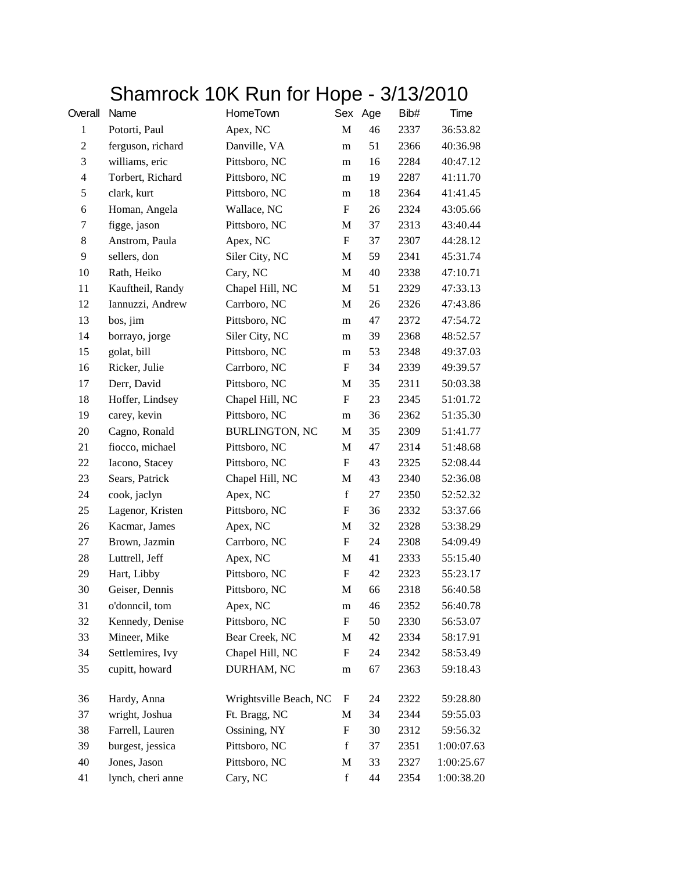## Shamrock 10K Run for Hope - 3/13/2010

| Overall        | Name              | <b>HomeTown</b>        |                           | Sex Age | Bib# | Time       |
|----------------|-------------------|------------------------|---------------------------|---------|------|------------|
| $\mathbf{1}$   | Potorti, Paul     | Apex, NC               | M                         | 46      | 2337 | 36:53.82   |
| $\overline{c}$ | ferguson, richard | Danville, VA           | m                         | 51      | 2366 | 40:36.98   |
| 3              | williams, eric    | Pittsboro, NC          | m                         | 16      | 2284 | 40:47.12   |
| $\overline{4}$ | Torbert, Richard  | Pittsboro, NC          | m                         | 19      | 2287 | 41:11.70   |
| 5              | clark, kurt       | Pittsboro, NC          | m                         | 18      | 2364 | 41:41.45   |
| 6              | Homan, Angela     | Wallace, NC            | $\boldsymbol{\mathrm{F}}$ | 26      | 2324 | 43:05.66   |
| 7              | figge, jason      | Pittsboro, NC          | M                         | 37      | 2313 | 43:40.44   |
| $8\,$          | Anstrom, Paula    | Apex, NC               | $\boldsymbol{\mathrm{F}}$ | 37      | 2307 | 44:28.12   |
| 9              | sellers, don      | Siler City, NC         | M                         | 59      | 2341 | 45:31.74   |
| 10             | Rath, Heiko       | Cary, NC               | M                         | 40      | 2338 | 47:10.71   |
| 11             | Kauftheil, Randy  | Chapel Hill, NC        | M                         | 51      | 2329 | 47:33.13   |
| 12             | Iannuzzi, Andrew  | Carrboro, NC           | M                         | 26      | 2326 | 47:43.86   |
| 13             | bos, jim          | Pittsboro, NC          | m                         | 47      | 2372 | 47:54.72   |
| 14             | borrayo, jorge    | Siler City, NC         | m                         | 39      | 2368 | 48:52.57   |
| 15             | golat, bill       | Pittsboro, NC          | m                         | 53      | 2348 | 49:37.03   |
| 16             | Ricker, Julie     | Carrboro, NC           | $\boldsymbol{\mathrm{F}}$ | 34      | 2339 | 49:39.57   |
| 17             | Derr, David       | Pittsboro, NC          | M                         | 35      | 2311 | 50:03.38   |
| 18             | Hoffer, Lindsey   | Chapel Hill, NC        | $\boldsymbol{\mathrm{F}}$ | 23      | 2345 | 51:01.72   |
| 19             | carey, kevin      | Pittsboro, NC          | m                         | 36      | 2362 | 51:35.30   |
| 20             | Cagno, Ronald     | <b>BURLINGTON, NC</b>  | M                         | 35      | 2309 | 51:41.77   |
| 21             | fiocco, michael   | Pittsboro, NC          | M                         | 47      | 2314 | 51:48.68   |
| 22             | Iacono, Stacey    | Pittsboro, NC          | $\boldsymbol{\mathrm{F}}$ | 43      | 2325 | 52:08.44   |
| 23             | Sears, Patrick    | Chapel Hill, NC        | M                         | 43      | 2340 | 52:36.08   |
| 24             | cook, jaclyn      | Apex, NC               | $\mathbf f$               | 27      | 2350 | 52:52.32   |
| 25             | Lagenor, Kristen  | Pittsboro, NC          | F                         | 36      | 2332 | 53:37.66   |
| 26             | Kacmar, James     | Apex, NC               | M                         | 32      | 2328 | 53:38.29   |
| 27             | Brown, Jazmin     | Carrboro, NC           | $\boldsymbol{\mathrm{F}}$ | 24      | 2308 | 54:09.49   |
| 28             | Luttrell, Jeff    | Apex, NC               | M                         | 41      | 2333 | 55:15.40   |
| 29             | Hart, Libby       | Pittsboro, NC          | $\boldsymbol{\mathrm{F}}$ | 42      | 2323 | 55:23.17   |
| 30             | Geiser, Dennis    | Pittsboro, NC          | M                         | 66      | 2318 | 56:40.58   |
| 31             | o'donncil, tom    | Apex, NC               | ${\rm m}$                 | 46      | 2352 | 56:40.78   |
| 32             | Kennedy, Denise   | Pittsboro, NC          | $\boldsymbol{F}$          | 50      | 2330 | 56:53.07   |
| 33             | Mineer, Mike      | Bear Creek, NC         | M                         | 42      | 2334 | 58:17.91   |
| 34             | Settlemires, Ivy  | Chapel Hill, NC        | $\mathbf F$               | 24      | 2342 | 58:53.49   |
| 35             | cupitt, howard    | DURHAM, NC             | m                         | 67      | 2363 | 59:18.43   |
| 36             | Hardy, Anna       | Wrightsville Beach, NC | $\mathbf F$               | 24      | 2322 | 59:28.80   |
| 37             | wright, Joshua    | Ft. Bragg, NC          | M                         | 34      | 2344 | 59:55.03   |
| 38             | Farrell, Lauren   | Ossining, NY           | $\boldsymbol{\mathrm{F}}$ | 30      | 2312 | 59:56.32   |
| 39             | burgest, jessica  | Pittsboro, NC          | f                         | 37      | 2351 | 1:00:07.63 |
| 40             | Jones, Jason      | Pittsboro, NC          | M                         | 33      | 2327 | 1:00:25.67 |
| 41             | lynch, cheri anne | Cary, NC               | $\mathbf f$               | 44      | 2354 | 1:00:38.20 |